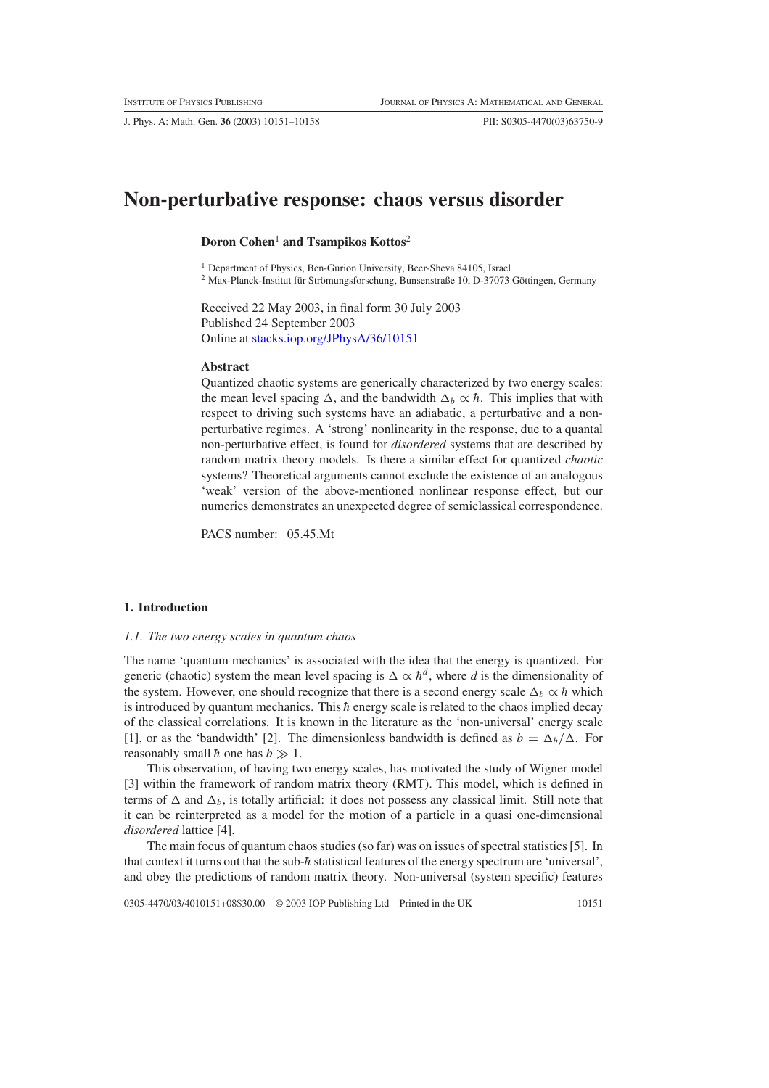# **Non-perturbative response: chaos versus disorder**

# **Doron Cohen**<sup>1</sup> **and Tsampikos Kottos**<sup>2</sup>

<sup>1</sup> Department of Physics, Ben-Gurion University, Beer-Sheva 84105, Israel

<sup>2</sup> Max-Planck-Institut für Strömungsforschung, Bunsenstraße 10, D-37073 Göttingen, Germany

Received 22 May 2003, in final form 30 July 2003 Published 24 September 2003 Online at [stacks.iop.org/JPhysA/36/10151](http://stacks.iop.org/ja/36/10151)

# **Abstract**

Quantized chaotic systems are generically characterized by two energy scales: the mean level spacing  $\Delta$ , and the bandwidth  $\Delta_b \propto \hbar$ . This implies that with respect to driving such systems have an adiabatic, a perturbative and a nonperturbative regimes. A 'strong' nonlinearity in the response, due to a quantal non-perturbative effect, is found for *disordered* systems that are described by random matrix theory models. Is there a similar effect for quantized *chaotic* systems? Theoretical arguments cannot exclude the existence of an analogous 'weak' version of the above-mentioned nonlinear response effect, but our numerics demonstrates an unexpected degree of semiclassical correspondence.

PACS number: 05.45.Mt

# **1. Introduction**

#### *1.1. The two energy scales in quantum chaos*

The name 'quantum mechanics' is associated with the idea that the energy is quantized. For generic (chaotic) system the mean level spacing is  $\Delta \propto \hbar^d$ , where *d* is the dimensionality of the system. However, one should recognize that there is a second energy scale  $\Delta_b \propto \hbar$  which is introduced by quantum mechanics. This  $\hbar$  energy scale is related to the chaos implied decay of the classical correlations. It is known in the literature as the 'non-universal' energy scale [1], or as the 'bandwidth' [2]. The dimensionless bandwidth is defined as  $b = \Delta_b/\Delta$ . For reasonably small  $\hbar$  one has  $b \gg 1$ .

This observation, of having two energy scales, has motivated the study of Wigner model [3] within the framework of random matrix theory (RMT). This model, which is defined in terms of  $\Delta$  and  $\Delta_b$ , is totally artificial: it does not possess any classical limit. Still note that it can be reinterpreted as a model for the motion of a particle in a quasi one-dimensional *disordered* lattice [4].

The main focus of quantum chaos studies (so far) was on issues of spectral statistics [5]. In that context it turns out that the sub- $\hbar$  statistical features of the energy spectrum are 'universal', and obey the predictions of random matrix theory. Non-universal (system specific) features

0305-4470/03/4010151+08\$30.00 © 2003 IOP Publishing Ltd Printed in the UK 10151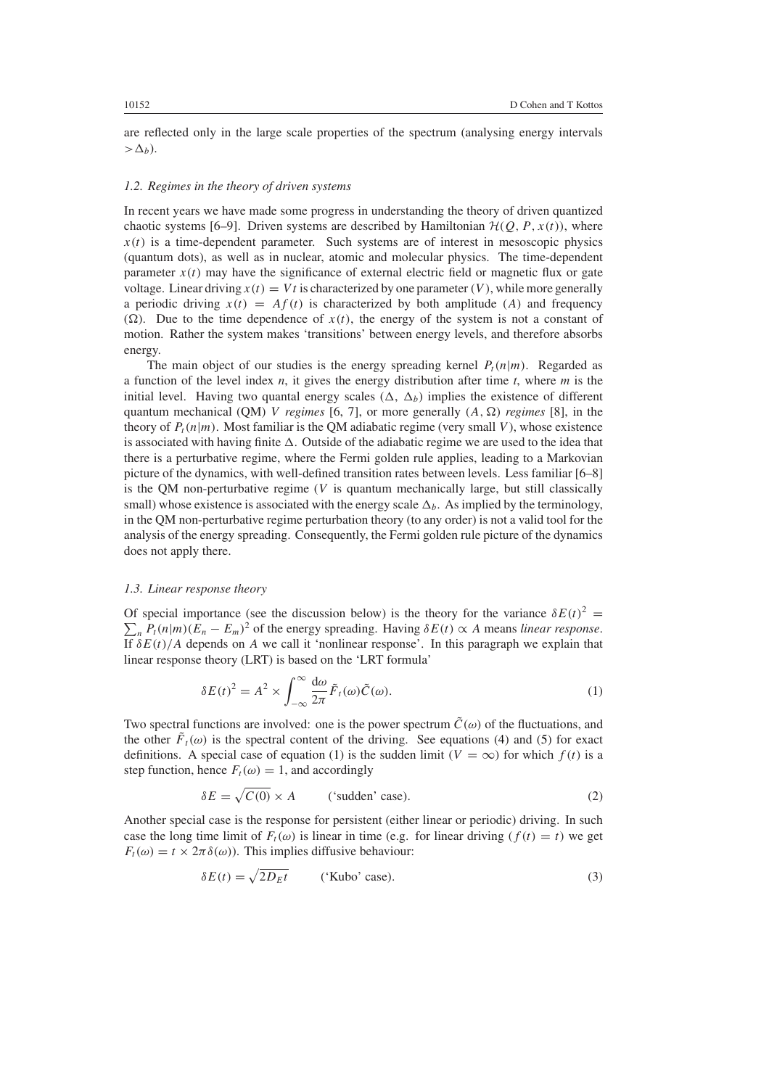are reflected only in the large scale properties of the spectrum (analysing energy intervals  $>\Delta_h$ ).

# *1.2. Regimes in the theory of driven systems*

In recent years we have made some progress in understanding the theory of driven quantized chaotic systems [6–9]. Driven systems are described by Hamiltonian  $\mathcal{H}(Q, P, x(t))$ , where  $x(t)$  is a time-dependent parameter. Such systems are of interest in mesoscopic physics (quantum dots), as well as in nuclear, atomic and molecular physics. The time-dependent parameter  $x(t)$  may have the significance of external electric field or magnetic flux or gate voltage. Linear driving  $x(t) = Vt$  is characterized by one parameter  $(V)$ , while more generally a periodic driving  $x(t) = Af(t)$  is characterized by both amplitude (A) and frequency  $(\Omega)$ . Due to the time dependence of  $x(t)$ , the energy of the system is not a constant of motion. Rather the system makes 'transitions' between energy levels, and therefore absorbs energy.

The main object of our studies is the energy spreading kernel  $P_t(n|m)$ . Regarded as a function of the level index *n*, it gives the energy distribution after time *t*, where *m* is the initial level. Having two quantal energy scales  $(\Delta, \Delta_b)$  implies the existence of different quantum mechanical (QM) *V regimes* [6, 7], or more generally  $(A, \Omega)$  *regimes* [8], in the theory of  $P_t(n|m)$ . Most familiar is the QM adiabatic regime (very small *V*), whose existence is associated with having finite  $\Delta$ . Outside of the adiabatic regime we are used to the idea that there is a perturbative regime, where the Fermi golden rule applies, leading to a Markovian picture of the dynamics, with well-defined transition rates between levels. Less familiar [6–8] is the QM non-perturbative regime (*V* is quantum mechanically large, but still classically small) whose existence is associated with the energy scale  $\Delta_b$ . As implied by the terminology, in the QM non-perturbative regime perturbation theory (to any order) is not a valid tool for the analysis of the energy spreading. Consequently, the Fermi golden rule picture of the dynamics does not apply there.

# *1.3. Linear response theory*

Of special importance (see the discussion below) is the theory for the variance  $\delta E(t)^2$  =  $\sum_{n} P_t(n|m)(E_n - E_m)^2$  of the energy spreading. Having  $\delta E(t) \propto A$  means *linear response*. If  $\delta E(t)/A$  depends on *A* we call it 'nonlinear response'. In this paragraph we explain that linear response theory (LRT) is based on the 'LRT formula'

$$
\delta E(t)^2 = A^2 \times \int_{-\infty}^{\infty} \frac{d\omega}{2\pi} \tilde{F}_t(\omega) \tilde{C}(\omega).
$$
 (1)

<span id="page-1-0"></span>Two spectral functions are involved: one is the power spectrum  $\tilde{C}(\omega)$  of the fluctuations, and the other  $\tilde{F}_t(\omega)$  is the spectral content of the driving. See equations [\(4\)](#page-4-0) and [\(5\)](#page-5-0) for exact definitions. A special case of equation [\(1\)](#page-1-0) is the sudden limit  $(V = \infty)$  for which  $f(t)$  is a step function, hence  $F_t(\omega) = 1$ , and accordingly

$$
\delta E = \sqrt{C(0)} \times A \qquad \text{('sudden' case)}.
$$
 (2)

<span id="page-1-1"></span>Another special case is the response for persistent (either linear or periodic) driving. In such case the long time limit of  $F_t(\omega)$  is linear in time (e.g. for linear driving  $(f(t) = t)$ ) we get  $F_t(\omega) = t \times 2\pi \delta(\omega)$ . This implies diffusive behaviour:

$$
\delta E(t) = \sqrt{2D_E t} \qquad \text{('Kubo' case)}.
$$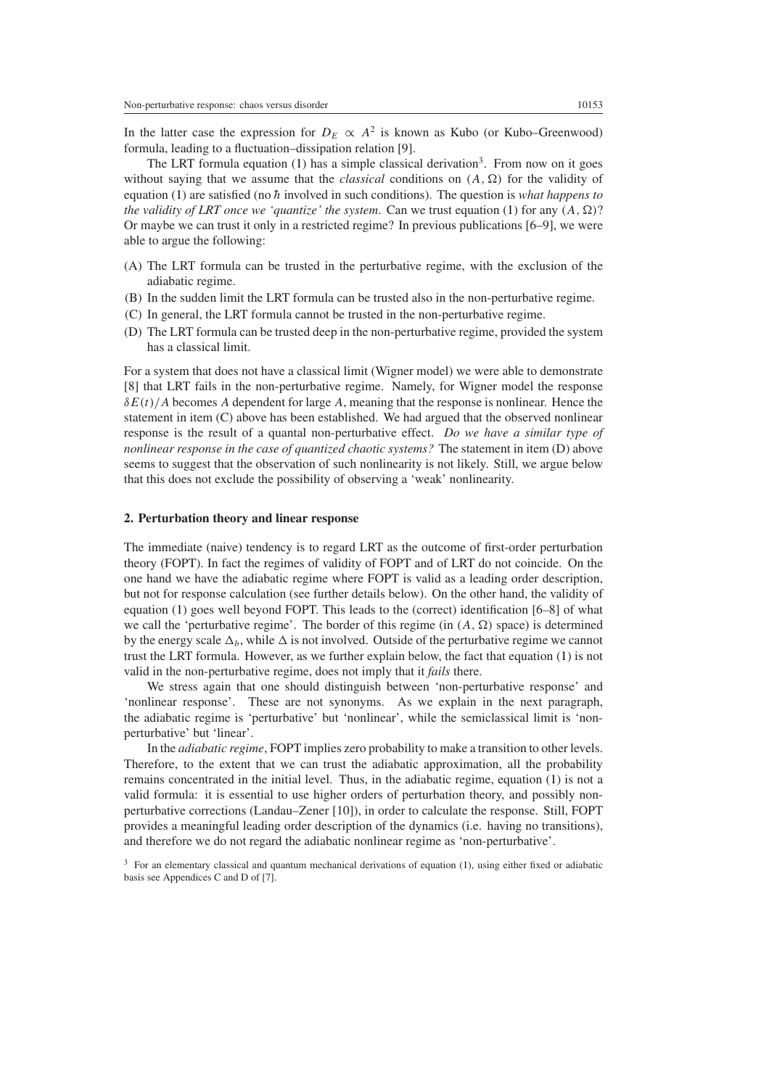In the latter case the expression for  $D_E \propto A^2$  is known as Kubo (or Kubo–Greenwood) formula, leading to a fluctuation–dissipation relation [9].

The LRT formula equation [\(1\)](#page-1-0) has a simple classical derivation<sup>3</sup>. From now on it goes without saying that we assume that the *classical* conditions on  $(A, \Omega)$  for the validity of equation [\(1\)](#page-1-0) are satisfied (no  $\hbar$  involved in such conditions). The question is *what happens to the validity of LRT once we 'quantize' the system. Can we trust equation [\(1\)](#page-1-0) for any*  $(A, \Omega)$ *?* Or maybe we can trust it only in a restricted regime? In previous publications [6–9], we were able to argue the following:

- (A) The LRT formula can be trusted in the perturbative regime, with the exclusion of the adiabatic regime.
- (B) In the sudden limit the LRT formula can be trusted also in the non-perturbative regime.
- (C) In general, the LRT formula cannot be trusted in the non-perturbative regime.
- (D) The LRT formula can be trusted deep in the non-perturbative regime, provided the system has a classical limit.

For a system that does not have a classical limit (Wigner model) we were able to demonstrate [8] that LRT fails in the non-perturbative regime. Namely, for Wigner model the response *δE(t)/A* becomes *A* dependent for large *A*, meaning that the response is nonlinear. Hence the statement in item (C) above has been established. We had argued that the observed nonlinear response is the result of a quantal non-perturbative effect. *Do we have a similar type of nonlinear response in the case of quantized chaotic systems?* The statement in item (D) above seems to suggest that the observation of such nonlinearity is not likely. Still, we argue below that this does not exclude the possibility of observing a 'weak' nonlinearity.

#### **2. Perturbation theory and linear response**

The immediate (naive) tendency is to regard LRT as the outcome of first-order perturbation theory (FOPT). In fact the regimes of validity of FOPT and of LRT do not coincide. On the one hand we have the adiabatic regime where FOPT is valid as a leading order description, but not for response calculation (see further details below). On the other hand, the validity of equation [\(1\)](#page-1-0) goes well beyond FOPT. This leads to the (correct) identification [6–8] of what we call the 'perturbative regime'. The border of this regime (in  $(A, \Omega)$  space) is determined by the energy scale  $\Delta_b$ , while  $\Delta$  is not involved. Outside of the perturbative regime we cannot trust the LRT formula. However, as we further explain below, the fact that equation [\(1\)](#page-1-0) is not valid in the non-perturbative regime, does not imply that it *fails* there.

We stress again that one should distinguish between 'non-perturbative response' and 'nonlinear response'. These are not synonyms. As we explain in the next paragraph, the adiabatic regime is 'perturbative' but 'nonlinear', while the semiclassical limit is 'nonperturbative' but 'linear'.

In the *adiabatic regime*, FOPT implies zero probability to make a transition to other levels. Therefore, to the extent that we can trust the adiabatic approximation, all the probability remains concentrated in the initial level. Thus, in the adiabatic regime, equation [\(1\)](#page-1-0) is not a valid formula: it is essential to use higher orders of perturbation theory, and possibly nonperturbative corrections (Landau–Zener [10]), in order to calculate the response. Still, FOPT provides a meaningful leading order description of the dynamics (i.e. having no transitions), and therefore we do not regard the adiabatic nonlinear regime as 'non-perturbative'.

<sup>&</sup>lt;sup>3</sup> For an elementary classical and quantum mechanical derivations of equation [\(1\)](#page-1-0), using either fixed or adiabatic basis see Appendices C and D of [7].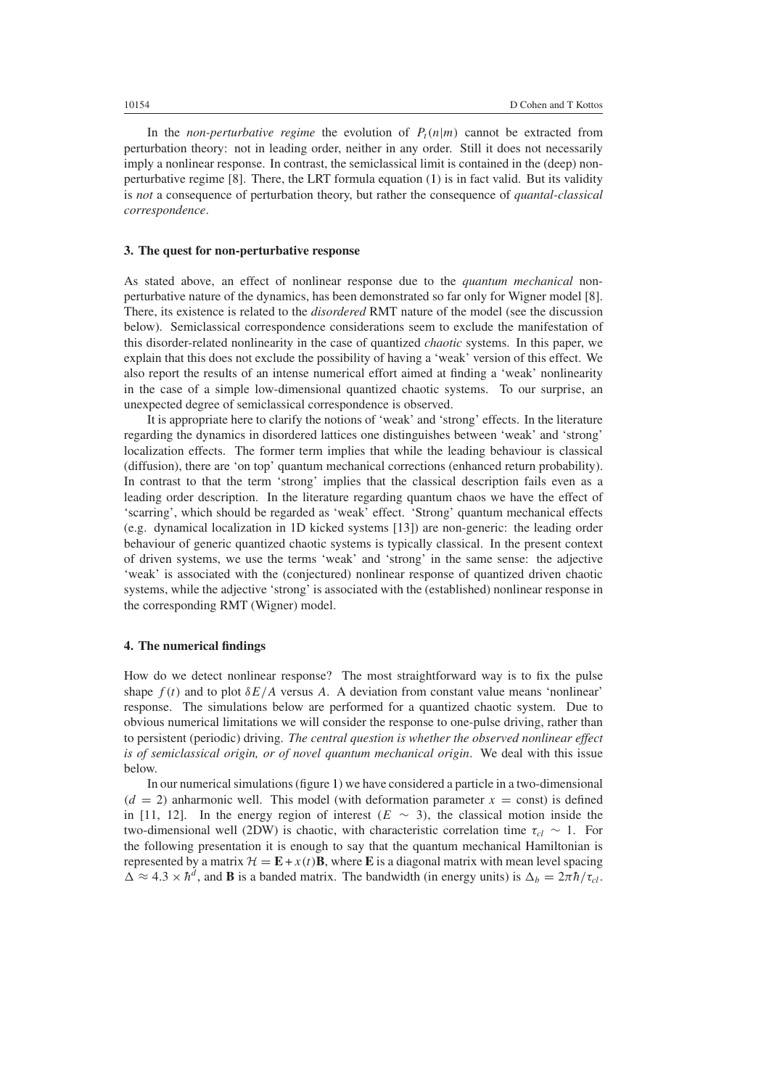In the *non-perturbative regime* the evolution of  $P_t(n|m)$  cannot be extracted from perturbation theory: not in leading order, neither in any order. Still it does not necessarily imply a nonlinear response. In contrast, the semiclassical limit is contained in the (deep) nonperturbative regime [8]. There, the LRT formula equation [\(1\)](#page-1-0) is in fact valid. But its validity is *not* a consequence of perturbation theory, but rather the consequence of *quantal-classical correspondence*.

# **3. The quest for non-perturbative response**

As stated above, an effect of nonlinear response due to the *quantum mechanical* nonperturbative nature of the dynamics, has been demonstrated so far only for Wigner model [8]. There, its existence is related to the *disordered* RMT nature of the model (see the discussion below). Semiclassical correspondence considerations seem to exclude the manifestation of this disorder-related nonlinearity in the case of quantized *chaotic* systems. In this paper, we explain that this does not exclude the possibility of having a 'weak' version of this effect. We also report the results of an intense numerical effort aimed at finding a 'weak' nonlinearity in the case of a simple low-dimensional quantized chaotic systems. To our surprise, an unexpected degree of semiclassical correspondence is observed.

It is appropriate here to clarify the notions of 'weak' and 'strong' effects. In the literature regarding the dynamics in disordered lattices one distinguishes between 'weak' and 'strong' localization effects. The former term implies that while the leading behaviour is classical (diffusion), there are 'on top' quantum mechanical corrections (enhanced return probability). In contrast to that the term 'strong' implies that the classical description fails even as a leading order description. In the literature regarding quantum chaos we have the effect of 'scarring', which should be regarded as 'weak' effect. 'Strong' quantum mechanical effects (e.g. dynamical localization in 1D kicked systems [13]) are non-generic: the leading order behaviour of generic quantized chaotic systems is typically classical. In the present context of driven systems, we use the terms 'weak' and 'strong' in the same sense: the adjective 'weak' is associated with the (conjectured) nonlinear response of quantized driven chaotic systems, while the adjective 'strong' is associated with the (established) nonlinear response in the corresponding RMT (Wigner) model.

# **4. The numerical findings**

How do we detect nonlinear response? The most straightforward way is to fix the pulse shape  $f(t)$  and to plot  $\delta E/A$  versus A. A deviation from constant value means 'nonlinear' response. The simulations below are performed for a quantized chaotic system. Due to obvious numerical limitations we will consider the response to one-pulse driving, rather than to persistent (periodic) driving. *The central question is whether the observed nonlinear effect is of semiclassical origin, or of novel quantum mechanical origin*. We deal with this issue below.

In our numerical simulations (figure [1\)](#page-4-1) we have considered a particle in a two-dimensional  $(d = 2)$  anharmonic well. This model (with deformation parameter  $x =$  const) is defined in [11, 12]. In the energy region of interest  $(E \sim 3)$ , the classical motion inside the two-dimensional well (2DW) is chaotic, with characteristic correlation time  $\tau_{cl} \sim 1$ . For the following presentation it is enough to say that the quantum mechanical Hamiltonian is represented by a matrix  $\mathcal{H} = \mathbf{E} + x(t)\mathbf{B}$ , where **E** is a diagonal matrix with mean level spacing  $\Delta \approx 4.3 \times \hbar^d$ , and **B** is a banded matrix. The bandwidth (in energy units) is  $\Delta_b = 2\pi \hbar / \tau_{cl}$ .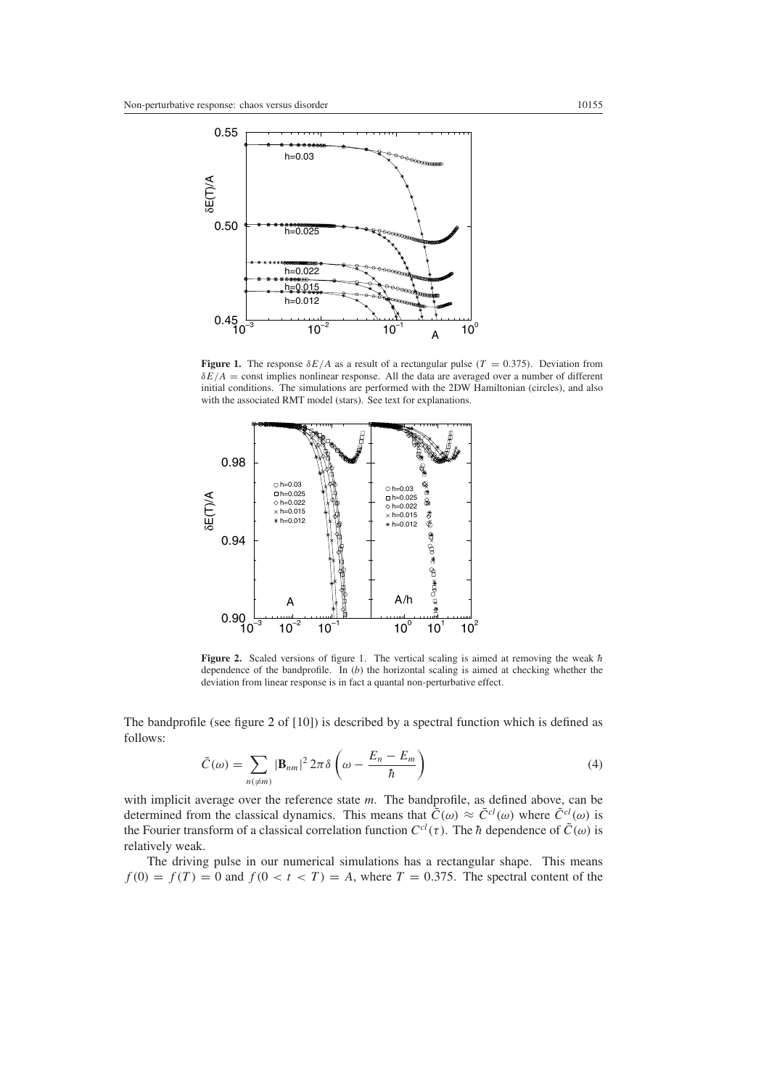

<span id="page-4-1"></span>**Figure 1.** The response  $\delta E/A$  as a result of a rectangular pulse  $(T = 0.375)$ . Deviation from *δE/A* = const implies nonlinear response. All the data are averaged over a number of different initial conditions. The simulations are performed with the 2DW Hamiltonian (circles), and also with the associated RMT model (stars). See text for explanations.



<span id="page-4-2"></span>**Figure 2.** Scaled versions of figure 1. The vertical scaling is aimed at removing the weak  $\hbar$ dependence of the bandprofile. In (*b*) the horizontal scaling is aimed at checking whether the deviation from linear response is in fact a quantal non-perturbative effect.

The bandprofile (see figure [2](#page-4-2) of [10]) is described by a spectral function which is defined as follows:

$$
\tilde{C}(\omega) = \sum_{n(\neq m)} |\mathbf{B}_{nm}|^2 2\pi \delta \left(\omega - \frac{E_n - E_m}{\hbar}\right)
$$
\n(4)

<span id="page-4-0"></span>with implicit average over the reference state *m*. The bandprofile, as defined above, can be determined from the classical dynamics. This means that  $\tilde{C}(\omega) \approx \tilde{C}^{cl}(\omega)$  where  $\tilde{C}^{cl}(\omega)$  is the Fourier transform of a classical correlation function  $C^{cl}(\tau)$ . The  $\hbar$  dependence of  $\tilde{C}(\omega)$  is relatively weak.

The driving pulse in our numerical simulations has a rectangular shape. This means  $f(0) = f(T) = 0$  and  $f(0 < t < T) = A$ , where  $T = 0.375$ . The spectral content of the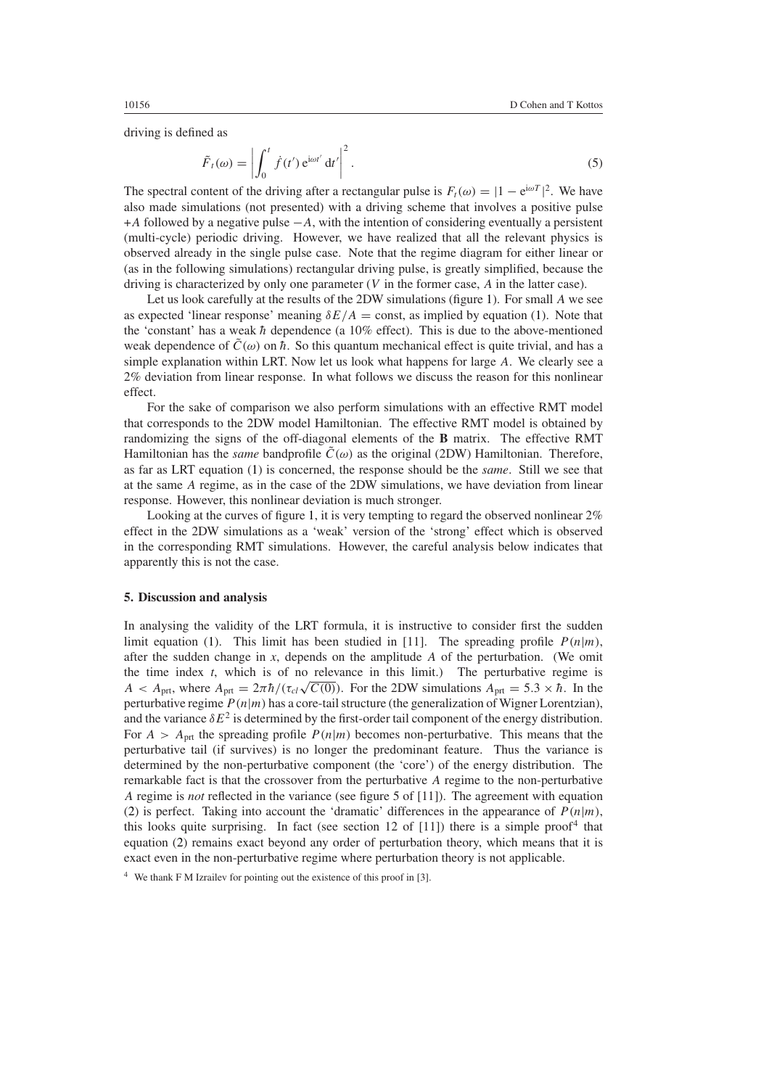<span id="page-5-0"></span>driving is defined as

$$
\tilde{F}_t(\omega) = \left| \int_0^t \dot{f}(t') e^{i\omega t'} dt' \right|^2.
$$
\n(5)

The spectral content of the driving after a rectangular pulse is  $F_t(\omega) = |1 - e^{i\omega T}|^2$ . We have also made simulations (not presented) with a driving scheme that involves a positive pulse +*A* followed by a negative pulse −*A*, with the intention of considering eventually a persistent (multi-cycle) periodic driving. However, we have realized that all the relevant physics is observed already in the single pulse case. Note that the regime diagram for either linear or (as in the following simulations) rectangular driving pulse, is greatly simplified, because the driving is characterized by only one parameter (*V* in the former case, *A* in the latter case).

Let us look carefully at the results of the 2DW simulations (figure [1\)](#page-4-1). For small *A* we see as expected 'linear response' meaning  $\delta E/A = \text{const}$ , as implied by equation [\(1\)](#page-1-0). Note that the 'constant' has a weak  $\hbar$  dependence (a 10% effect). This is due to the above-mentioned weak dependence of  $\tilde{C}(\omega)$  on  $\hbar$ . So this quantum mechanical effect is quite trivial, and has a simple explanation within LRT. Now let us look what happens for large *A*. We clearly see a 2% deviation from linear response. In what follows we discuss the reason for this nonlinear effect.

For the sake of comparison we also perform simulations with an effective RMT model that corresponds to the 2DW model Hamiltonian. The effective RMT model is obtained by randomizing the signs of the off-diagonal elements of the **B** matrix. The effective RMT Hamiltonian has the *same* bandprofile  $\tilde{C}(\omega)$  as the original (2DW) Hamiltonian. Therefore, as far as LRT equation [\(1\)](#page-1-0) is concerned, the response should be the *same*. Still we see that at the same *A* regime, as in the case of the 2DW simulations, we have deviation from linear response. However, this nonlinear deviation is much stronger.

Looking at the curves of figure [1,](#page-4-1) it is very tempting to regard the observed nonlinear  $2\%$ effect in the 2DW simulations as a 'weak' version of the 'strong' effect which is observed in the corresponding RMT simulations. However, the careful analysis below indicates that apparently this is not the case.

#### **5. Discussion and analysis**

In analysing the validity of the LRT formula, it is instructive to consider first the sudden limit equation [\(1\)](#page-1-0). This limit has been studied in [11]. The spreading profile  $P(n|m)$ , after the sudden change in *x*, depends on the amplitude *A* of the perturbation. (We omit the time index *t*, which is of no relevance in this limit.) The perturbative regime is  $A \leq A_{\text{nrt}}$ , where  $A_{\text{nrt}} = 2\pi\hbar/(\tau_{c}/\sqrt{C(0)})$ . For the 2DW simulations  $A_{\text{nrt}} = 5.3 \times \hbar$ . In the perturbative regime  $P(n|m)$  has a core-tail structure (the generalization of Wigner Lorentzian), and the variance  $\delta E^2$  is determined by the first-order tail component of the energy distribution. For  $A > A<sub>prt</sub>$  the spreading profile  $P(n|m)$  becomes non-perturbative. This means that the perturbative tail (if survives) is no longer the predominant feature. Thus the variance is determined by the non-perturbative component (the 'core') of the energy distribution. The remarkable fact is that the crossover from the perturbative *A* regime to the non-perturbative *A* regime is *not* reflected in the variance (see figure 5 of [11]). The agreement with equation [\(2\)](#page-1-1) is perfect. Taking into account the 'dramatic' differences in the appearance of  $P(n|m)$ , this looks quite surprising. In fact (see section 12 of  $[11]$ ) there is a simple proof<sup>4</sup> that equation [\(2\)](#page-1-1) remains exact beyond any order of perturbation theory, which means that it is exact even in the non-perturbative regime where perturbation theory is not applicable.

<sup>4</sup> We thank F M Izrailev for pointing out the existence of this proof in [3].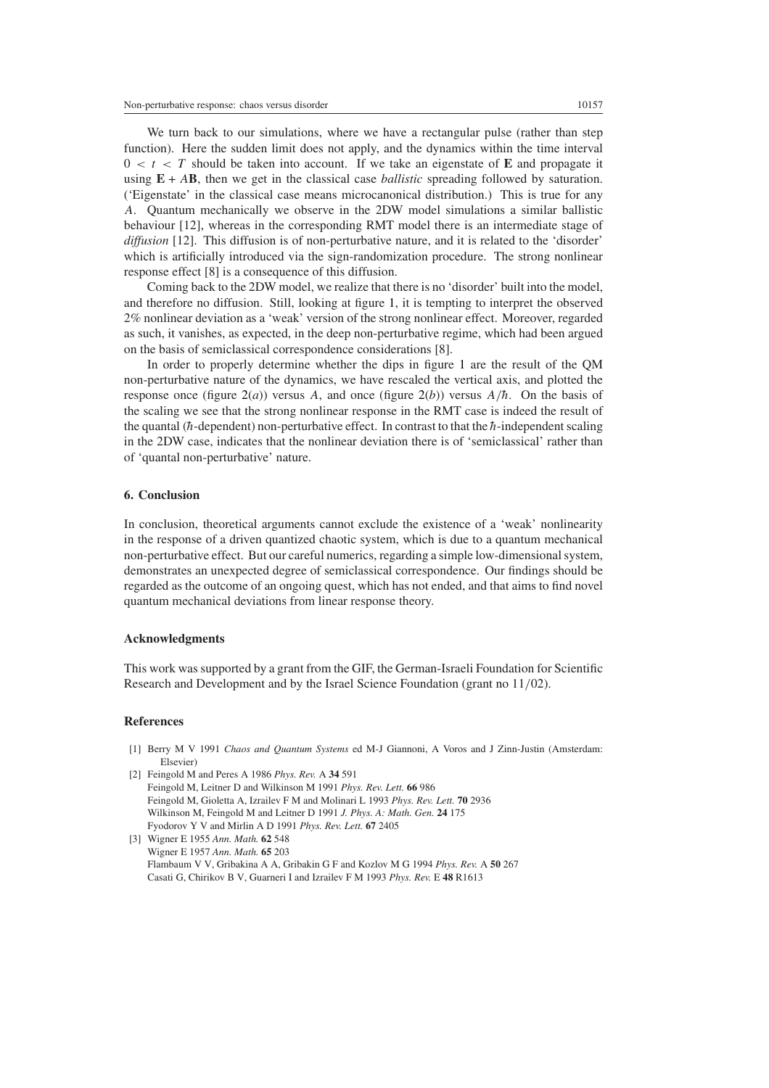We turn back to our simulations, where we have a rectangular pulse (rather than step function). Here the sudden limit does not apply, and the dynamics within the time interval  $0 < t < T$  should be taken into account. If we take an eigenstate of **E** and propagate it using  $E + AB$ , then we get in the classical case *ballistic* spreading followed by saturation. ('Eigenstate' in the classical case means microcanonical distribution.) This is true for any *A*. Quantum mechanically we observe in the 2DW model simulations a similar ballistic behaviour [12], whereas in the corresponding RMT model there is an intermediate stage of *diffusion* [12]. This diffusion is of non-perturbative nature, and it is related to the 'disorder' which is artificially introduced via the sign-randomization procedure. The strong nonlinear response effect [8] is a consequence of this diffusion.

Coming back to the 2DW model, we realize that there is no 'disorder' built into the model, and therefore no diffusion. Still, looking at figure [1,](#page-4-1) it is tempting to interpret the observed 2% nonlinear deviation as a 'weak' version of the strong nonlinear effect. Moreover, regarded as such, it vanishes, as expected, in the deep non-perturbative regime, which had been argued on the basis of semiclassical correspondence considerations [8].

In order to properly determine whether the dips in figure [1](#page-4-1) are the result of the QM non-perturbative nature of the dynamics, we have rescaled the vertical axis, and plotted the response once (figure  $2(a)$  $2(a)$ ) versus *A*, and once (figure  $2(b)$ ) versus  $A/\hbar$ . On the basis of the scaling we see that the strong nonlinear response in the RMT case is indeed the result of the quantal  $(h$ -dependent) non-perturbative effect. In contrast to that the  $h$ -independent scaling in the 2DW case, indicates that the nonlinear deviation there is of 'semiclassical' rather than of 'quantal non-perturbative' nature.

### **6. Conclusion**

In conclusion, theoretical arguments cannot exclude the existence of a 'weak' nonlinearity in the response of a driven quantized chaotic system, which is due to a quantum mechanical non-perturbative effect. But our careful numerics, regarding a simple low-dimensional system, demonstrates an unexpected degree of semiclassical correspondence. Our findings should be regarded as the outcome of an ongoing quest, which has not ended, and that aims to find novel quantum mechanical deviations from linear response theory.

# **Acknowledgments**

This work was supported by a grant from the GIF, the German-Israeli Foundation for Scientific Research and Development and by the Israel Science Foundation (grant no 11*/*02).

# **References**

- [1] Berry M V 1991 *Chaos and Quantum Systems* ed M-J Giannoni, A Voros and J Zinn-Justin (Amsterdam: Elsevier)
- [2] Feingold M and Peres A 1986 *Phys. Rev.* A **34** 591 Feingold M, Leitner D and Wilkinson M 1991 *Phys. Rev. Lett.* **66** 986 Feingold M, Gioletta A, Izrailev F M and Molinari L 1993 *Phys. Rev. Lett.* **70** 2936 Wilkinson M, Feingold M and Leitner D 1991 *J. Phys. A: Math. Gen.* **24** 175 Fyodorov Y V and Mirlin A D 1991 *Phys. Rev. Lett.* **67** 2405

[3] Wigner E 1955 *Ann. Math.* **62** 548 Wigner E 1957 *Ann. Math.* **65** 203 Flambaum V V, Gribakina A A, Gribakin G F and Kozlov M G 1994 *Phys. Rev.* A **50** 267 Casati G, Chirikov B V, Guarneri I and Izrailev F M 1993 *Phys. Rev.* E **48** R1613